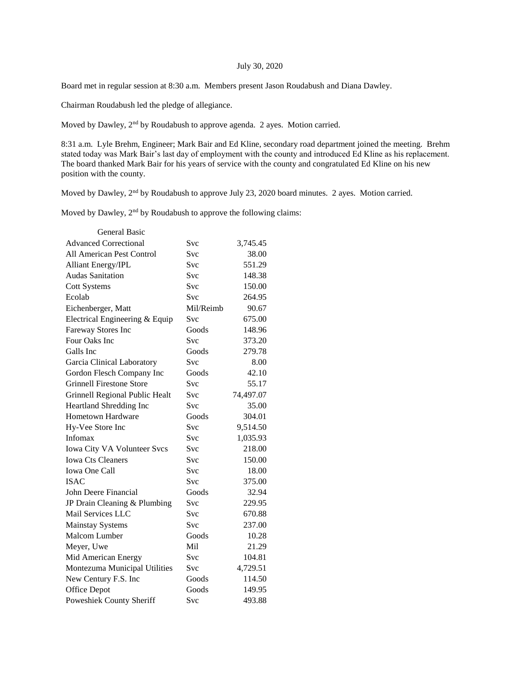## July 30, 2020

Board met in regular session at 8:30 a.m. Members present Jason Roudabush and Diana Dawley.

Chairman Roudabush led the pledge of allegiance.

Moved by Dawley, 2<sup>nd</sup> by Roudabush to approve agenda. 2 ayes. Motion carried.

8:31 a.m. Lyle Brehm, Engineer; Mark Bair and Ed Kline, secondary road department joined the meeting. Brehm stated today was Mark Bair's last day of employment with the county and introduced Ed Kline as his replacement. The board thanked Mark Bair for his years of service with the county and congratulated Ed Kline on his new position with the county.

Moved by Dawley, 2nd by Roudabush to approve July 23, 2020 board minutes. 2 ayes. Motion carried.

Moved by Dawley, 2<sup>nd</sup> by Roudabush to approve the following claims:

| <b>General Basic</b>             |            |           |
|----------------------------------|------------|-----------|
| <b>Advanced Correctional</b>     | Svc        | 3,745.45  |
| <b>All American Pest Control</b> | <b>Svc</b> | 38.00     |
| <b>Alliant Energy/IPL</b>        | Svc        | 551.29    |
| <b>Audas Sanitation</b>          | Svc        | 148.38    |
| <b>Cott Systems</b>              | Svc        | 150.00    |
| Ecolab                           | <b>Svc</b> | 264.95    |
| Eichenberger, Matt               | Mil/Reimb  | 90.67     |
| Electrical Engineering & Equip   | Svc        | 675.00    |
| Fareway Stores Inc               | Goods      | 148.96    |
| Four Oaks Inc                    | <b>Svc</b> | 373.20    |
| Galls Inc                        | Goods      | 279.78    |
| Garcia Clinical Laboratory       | Svc        | 8.00      |
| Gordon Flesch Company Inc        | Goods      | 42.10     |
| <b>Grinnell Firestone Store</b>  | <b>Svc</b> | 55.17     |
| Grinnell Regional Public Healt   | <b>Svc</b> | 74,497.07 |
| Heartland Shredding Inc          | Svc        | 35.00     |
| Hometown Hardware                | Goods      | 304.01    |
| Hy-Vee Store Inc                 | <b>Svc</b> | 9,514.50  |
| Infomax                          | Svc        | 1,035.93  |
| Iowa City VA Volunteer Svcs      | <b>Svc</b> | 218.00    |
| <b>Iowa Cts Cleaners</b>         | Svc        | 150.00    |
| <b>Iowa One Call</b>             | Svc        | 18.00     |
| <b>ISAC</b>                      | Svc        | 375.00    |
| John Deere Financial             | Goods      | 32.94     |
| JP Drain Cleaning & Plumbing     | Svc        | 229.95    |
| Mail Services LLC                | <b>Svc</b> | 670.88    |
| <b>Mainstay Systems</b>          | <b>Svc</b> | 237.00    |
| Malcom Lumber                    | Goods      | 10.28     |
| Meyer, Uwe                       | Mil        | 21.29     |
| Mid American Energy              | Svc        | 104.81    |
| Montezuma Municipal Utilities    | Svc        | 4,729.51  |
| New Century F.S. Inc             | Goods      | 114.50    |
| Office Depot                     | Goods      | 149.95    |
| Poweshiek County Sheriff         | Svc        | 493.88    |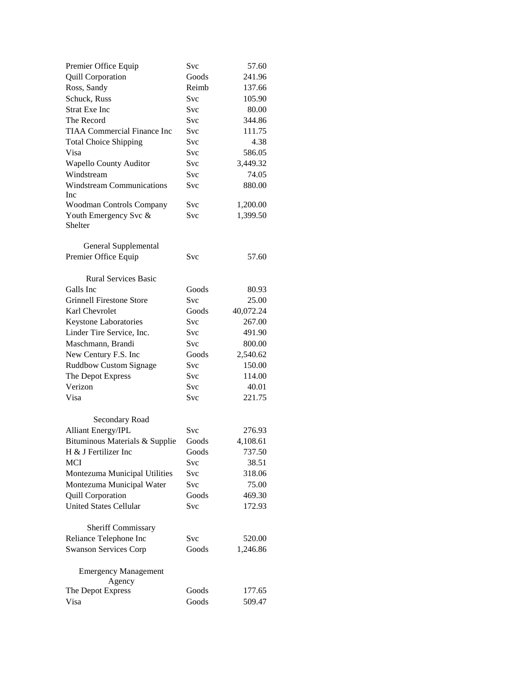| Premier Office Equip                         | Svc        | 57.60     |
|----------------------------------------------|------------|-----------|
| <b>Quill Corporation</b>                     | Goods      | 241.96    |
| Ross, Sandy                                  | Reimb      | 137.66    |
| Schuck, Russ                                 | Svc        | 105.90    |
| <b>Strat Exe Inc</b>                         | Svc        | 80.00     |
| The Record                                   | Svc        | 344.86    |
| <b>TIAA Commercial Finance Inc</b>           | Svc        | 111.75    |
| <b>Total Choice Shipping</b>                 | Svc        | 4.38      |
| Visa                                         | Svc        | 586.05    |
| <b>Wapello County Auditor</b>                | Svc        | 3,449.32  |
| Windstream                                   | <b>Svc</b> | 74.05     |
| <b>Windstream Communications</b>             | Svc        | 880.00    |
| Inc                                          |            |           |
| Woodman Controls Company                     | Svc        | 1,200.00  |
| Youth Emergency Svc &<br>Shelter             | Svc        | 1,399.50  |
|                                              |            |           |
| General Supplemental                         |            |           |
| Premier Office Equip                         | Svc        | 57.60     |
| <b>Rural Services Basic</b>                  |            |           |
| Galls Inc                                    | Goods      | 80.93     |
| <b>Grinnell Firestone Store</b>              | Svc        | 25.00     |
| Karl Chevrolet                               | Goods      | 40,072.24 |
| Keystone Laboratories                        | Svc        | 267.00    |
| Linder Tire Service, Inc.                    | Svc        | 491.90    |
| Maschmann, Brandi                            | Svc        | 800.00    |
| New Century F.S. Inc                         | Goods      | 2,540.62  |
| <b>Ruddbow Custom Signage</b>                | Svc        | 150.00    |
| The Depot Express                            | Svc        | 114.00    |
| Verizon                                      | Svc        | 40.01     |
| Visa                                         | Svc        | 221.75    |
| Secondary Road                               |            |           |
| Alliant Energy/IPL                           | Svc        | 276.93    |
| Bituminous Materials & Supplie               | Goods      | 4,108.61  |
| H & J Fertilizer Inc                         | Goods      | 737.50    |
| <b>MCI</b>                                   | Svc        | 38.51     |
| Montezuma Municipal Utilities                | Svc        | 318.06    |
| Montezuma Municipal Water                    | Svc        | 75.00     |
| Quill Corporation                            | Goods      | 469.30    |
| <b>United States Cellular</b>                | Svc        | 172.93    |
|                                              |            |           |
| Sheriff Commissary<br>Reliance Telephone Inc | Svc        | 520.00    |
| <b>Swanson Services Corp</b>                 | Goods      | 1,246.86  |
|                                              |            |           |
| <b>Emergency Management</b><br>Agency        |            |           |
| The Depot Express                            | Goods      | 177.65    |
| Visa                                         | Goods      | 509.47    |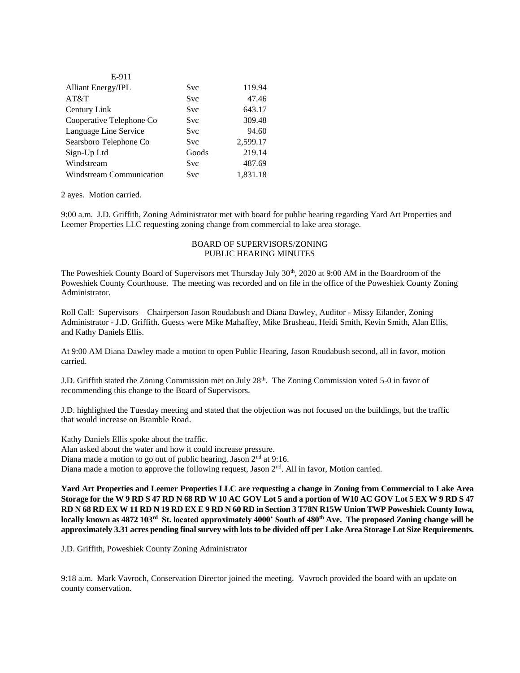| E-911                    |            |          |
|--------------------------|------------|----------|
| Alliant Energy/IPL       | Svc        | 119.94   |
| AT&T                     | <b>Svc</b> | 47.46    |
| Century Link             | <b>Svc</b> | 643.17   |
| Cooperative Telephone Co | <b>Svc</b> | 309.48   |
| Language Line Service    | Svc        | 94.60    |
| Searsboro Telephone Co   | <b>Svc</b> | 2,599.17 |
| Sign-Up Ltd              | Goods      | 219.14   |
| Windstream               | <b>Svc</b> | 487.69   |
| Windstream Communication | Svc        | 1,831.18 |

2 ayes. Motion carried.

9:00 a.m. J.D. Griffith, Zoning Administrator met with board for public hearing regarding Yard Art Properties and Leemer Properties LLC requesting zoning change from commercial to lake area storage.

## BOARD OF SUPERVISORS/ZONING PUBLIC HEARING MINUTES

The Poweshiek County Board of Supervisors met Thursday July 30<sup>th</sup>, 2020 at 9:00 AM in the Boardroom of the Poweshiek County Courthouse. The meeting was recorded and on file in the office of the Poweshiek County Zoning Administrator.

Roll Call: Supervisors – Chairperson Jason Roudabush and Diana Dawley, Auditor - Missy Eilander, Zoning Administrator - J.D. Griffith. Guests were Mike Mahaffey, Mike Brusheau, Heidi Smith, Kevin Smith, Alan Ellis, and Kathy Daniels Ellis.

At 9:00 AM Diana Dawley made a motion to open Public Hearing, Jason Roudabush second, all in favor, motion carried.

J.D. Griffith stated the Zoning Commission met on July 28<sup>th</sup>. The Zoning Commission voted 5-0 in favor of recommending this change to the Board of Supervisors.

J.D. highlighted the Tuesday meeting and stated that the objection was not focused on the buildings, but the traffic that would increase on Bramble Road.

Kathy Daniels Ellis spoke about the traffic. Alan asked about the water and how it could increase pressure. Diana made a motion to go out of public hearing, Jason  $2<sup>nd</sup>$  at 9:16. Diana made a motion to approve the following request, Jason  $2<sup>nd</sup>$ . All in favor, Motion carried.

**Yard Art Properties and Leemer Properties LLC are requesting a change in Zoning from Commercial to Lake Area Storage for the W 9 RD S 47 RD N 68 RD W 10 AC GOV Lot 5 and a portion of W10 AC GOV Lot 5 EX W 9 RD S 47 RD N 68 RD EX W 11 RD N 19 RD EX E 9 RD N 60 RD in Section 3 T78N R15W Union TWP Poweshiek County Iowa, locally known as 4872 103rd St. located approximately 4000' South of 480th Ave. The proposed Zoning change will be approximately 3.31 acres pending final survey with lots to be divided off per Lake Area Storage Lot Size Requirements.**

J.D. Griffith, Poweshiek County Zoning Administrator

9:18 a.m. Mark Vavroch, Conservation Director joined the meeting. Vavroch provided the board with an update on county conservation.